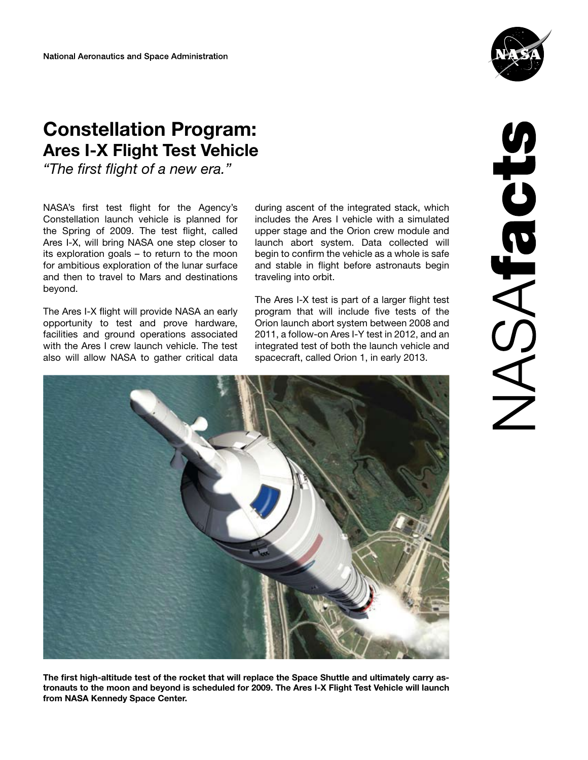

# **Constellation Program: Ares I-X Flight Test Vehicle**

*"The first flight of a new era."*

NASA's first test flight for the Agency's Constellation launch vehicle is planned for the Spring of 2009. The test flight, called Ares I-X, will bring NASA one step closer to its exploration goals – to return to the moon for ambitious exploration of the lunar surface and then to travel to Mars and destinations beyond.

The Ares I-X flight will provide NASA an early opportunity to test and prove hardware, facilities and ground operations associated with the Ares I crew launch vehicle. The test also will allow NASA to gather critical data during ascent of the integrated stack, which includes the Ares I vehicle with a simulated upper stage and the Orion crew module and launch abort system. Data collected will begin to confirm the vehicle as a whole is safe and stable in flight before astronauts begin traveling into orbit.

The Ares I-X test is part of a larger flight test program that will include five tests of the Orion launch abort system between 2008 and 2011, a follow-on Ares I-Y test in 2012, and an integrated test of both the launch vehicle and spacecraft, called Orion 1, in early 2013.



The first high-altitude test of the rocket that will replace the Space Shuttle and ultimately carry astronauts to the moon and beyond is scheduled for 2009. The Ares I-X Flight Test Vehicle will launch from NASA Kennedy Space Center.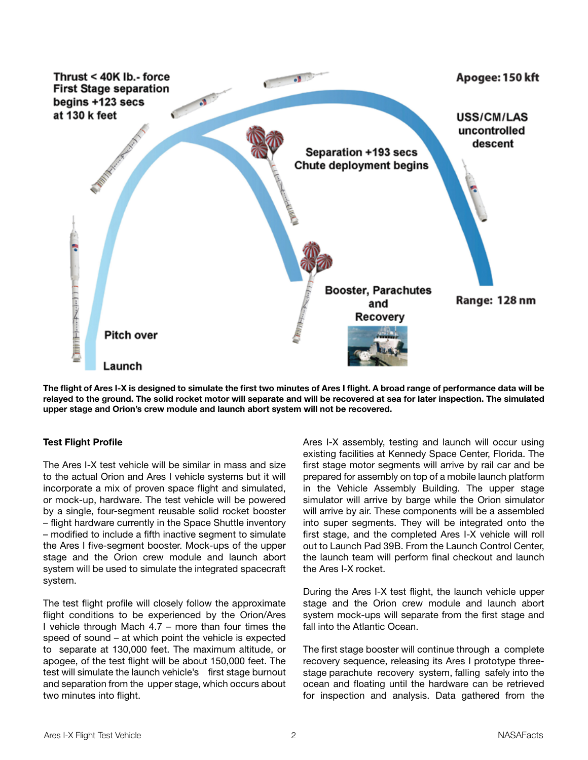

The flight of Ares I-X is designed to simulate the first two minutes of Ares I flight. A broad range of performance data will be relayed to the ground. The solid rocket motor will separate and will be recovered at sea for later inspection. The simulated upper stage and Orion's crew module and launch abort system will not be recovered.

## **Test Flight Profile**

The Ares I-X test vehicle will be similar in mass and size to the actual Orion and Ares I vehicle systems but it will incorporate a mix of proven space flight and simulated, or mock-up, hardware. The test vehicle will be powered by a single, four-segment reusable solid rocket booster – flight hardware currently in the Space Shuttle inventory – modified to include a fifth inactive segment to simulate the Ares I five-segment booster. Mock-ups of the upper stage and the Orion crew module and launch abort system will be used to simulate the integrated spacecraft system.

The test flight profile will closely follow the approximate flight conditions to be experienced by the Orion/Ares I vehicle through Mach 4.7 – more than four times the speed of sound – at which point the vehicle is expected to separate at 130,000 feet. The maximum altitude, or apogee, of the test flight will be about 150,000 feet. The test will simulate the launch vehicle's first stage burnout and separation from the upper stage, which occurs about two minutes into flight.

Ares I-X assembly, testing and launch will occur using existing facilities at Kennedy Space Center, Florida. The first stage motor segments will arrive by rail car and be prepared for assembly on top of a mobile launch platform in the Vehicle Assembly Building. The upper stage simulator will arrive by barge while the Orion simulator will arrive by air. These components will be a assembled into super segments. They will be integrated onto the first stage, and the completed Ares I-X vehicle will roll out to Launch Pad 39B. From the Launch Control Center, the launch team will perform final checkout and launch the Ares I-X rocket.

During the Ares I-X test flight, the launch vehicle upper stage and the Orion crew module and launch abort system mock-ups will separate from the first stage and fall into the Atlantic Ocean.

The first stage booster will continue through a complete recovery sequence, releasing its Ares I prototype threestage parachute recovery system, falling safely into the ocean and floating until the hardware can be retrieved for inspection and analysis. Data gathered from the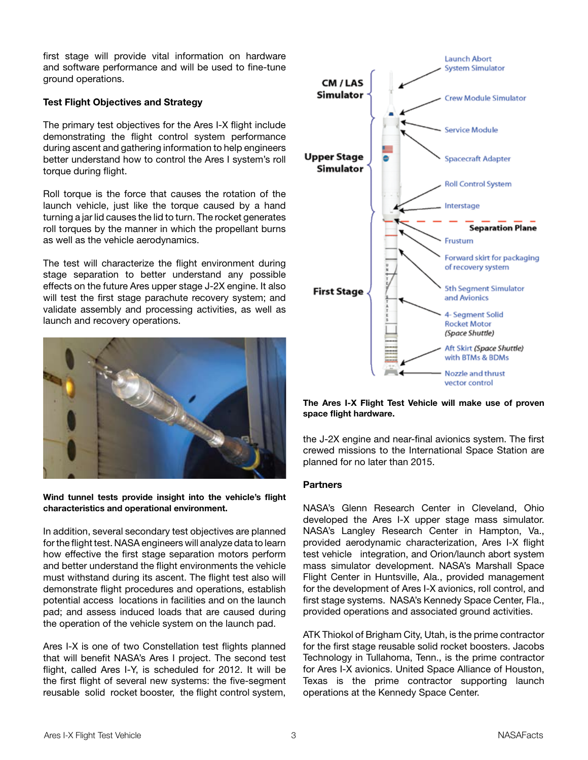first stage will provide vital information on hardware and software performance and will be used to fine-tune ground operations.

### **Test Flight Objectives and Strategy**

The primary test objectives for the Ares I-X flight include demonstrating the flight control system performance during ascent and gathering information to help engineers better understand how to control the Ares I system's roll torque during flight.

Roll torque is the force that causes the rotation of the launch vehicle, just like the torque caused by a hand turning a jar lid causes the lid to turn. The rocket generates roll torques by the manner in which the propellant burns as well as the vehicle aerodynamics.

The test will characterize the flight environment during stage separation to better understand any possible effects on the future Ares upper stage J-2X engine. It also will test the first stage parachute recovery system; and validate assembly and processing activities, as well as launch and recovery operations.



**Wind tunnel tests provide insight into the vehicle's flight characteristics and operational environment.**

In addition, several secondary test objectives are planned for the flight test. NASA engineers will analyze data to learn how effective the first stage separation motors perform and better understand the flight environments the vehicle must withstand during its ascent. The flight test also will demonstrate flight procedures and operations, establish potential access locations in facilities and on the launch pad; and assess induced loads that are caused during the operation of the vehicle system on the launch pad.

Ares I-X is one of two Constellation test flights planned that will benefit NASA's Ares I project. The second test flight, called Ares I-Y, is scheduled for 2012. It will be the first flight of several new systems: the five-segment reusable solid rocket booster, the flight control system,



**The Ares I-X Flight Test Vehicle will make use of proven space flight hardware.**

the J-2X engine and near-final avionics system. The first crewed missions to the International Space Station are planned for no later than 2015.

#### **Partners**

NASA's Glenn Research Center in Cleveland, Ohio developed the Ares I-X upper stage mass simulator. NASA's Langley Research Center in Hampton, Va., provided aerodynamic characterization, Ares I-X flight test vehicle integration, and Orion/launch abort system mass simulator development. NASA's Marshall Space Flight Center in Huntsville, Ala., provided management for the development of Ares I-X avionics, roll control, and first stage systems. NASA's Kennedy Space Center, Fla., provided operations and associated ground activities.

ATK Thiokol of Brigham City, Utah, is the prime contractor for the first stage reusable solid rocket boosters. Jacobs Technology in Tullahoma, Tenn., is the prime contractor for Ares I-X avionics. United Space Alliance of Houston, Texas is the prime contractor supporting launch operations at the Kennedy Space Center.